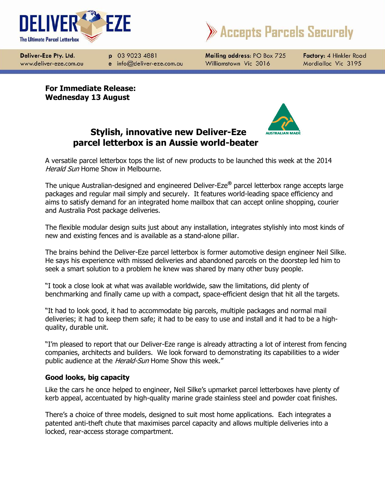



Deliver-Eze Pty. Ltd. www.deliver-eze.com.au

p 03 9023 4881 e info@deliver-eze.com.au Mailing address: PO Box 725 Williamstown Vic 3016

Factory: 4 Hinkler Road Mordialloc Vic 3195

**For Immediate Release: Wednesday 13 August**



# **Stylish, innovative new Deliver-Eze parcel letterbox is an Aussie world-beater**

A versatile parcel letterbox tops the list of new products to be launched this week at the 2014 Herald Sun Home Show in Melbourne.

The unique Australian-designed and engineered Deliver-Eze**®** parcel letterbox range accepts large packages and regular mail simply and securely. It features world-leading space efficiency and aims to satisfy demand for an integrated home mailbox that can accept online shopping, courier and Australia Post package deliveries.

The flexible modular design suits just about any installation, integrates stylishly into most kinds of new and existing fences and is available as a stand-alone pillar.

The brains behind the Deliver-Eze parcel letterbox is former automotive design engineer Neil Silke. He says his experience with missed deliveries and abandoned parcels on the doorstep led him to seek a smart solution to a problem he knew was shared by many other busy people.

"I took a close look at what was available worldwide, saw the limitations, did plenty of benchmarking and finally came up with a compact, space-efficient design that hit all the targets.

"It had to look good, it had to accommodate big parcels, multiple packages and normal mail deliveries; it had to keep them safe; it had to be easy to use and install and it had to be a highquality, durable unit.

"I'm pleased to report that our Deliver-Eze range is already attracting a lot of interest from fencing companies, architects and builders. We look forward to demonstrating its capabilities to a wider public audience at the Herald-Sun Home Show this week."

## **Good looks, big capacity**

Like the cars he once helped to engineer, Neil Silke's upmarket parcel letterboxes have plenty of kerb appeal, accentuated by high-quality marine grade stainless steel and powder coat finishes.

There's a choice of three models, designed to suit most home applications. Each integrates a patented anti-theft chute that maximises parcel capacity and allows multiple deliveries into a locked, rear-access storage compartment.